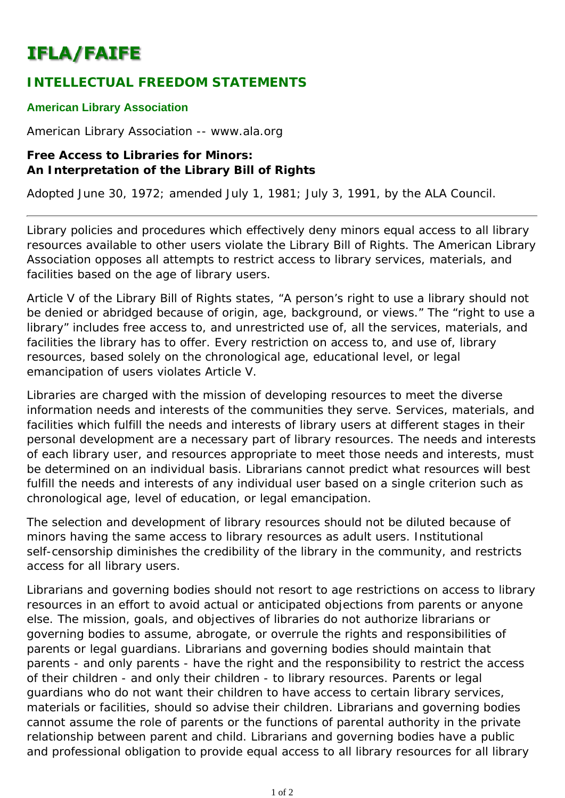## **IFLA/FAIFE**

## **INTELLECTUAL FREEDOM STATEMENTS**

## **American Library Association**

American Library Association -- www.ala.org

## **Free Access to Libraries for Minors: An Interpretation of the Library Bill of Rights**

*Adopted June 30, 1972; amended July 1, 1981; July 3, 1991, by the ALA Council.*

Library policies and procedures which effectively deny minors equal access to all library resources available to other users violate the *Library Bill of Rights*. The American Library Association opposes all attempts to restrict access to library services, materials, and facilities based on the age of library users.

Article V of the *Library Bill of Rights* states, "A person's right to use a library should not be denied or abridged because of origin, age, background, or views." The "right to use a library" includes free access to, and unrestricted use of, all the services, materials, and facilities the library has to offer. Every restriction on access to, and use of, library resources, based solely on the chronological age, educational level, or legal emancipation of users violates Article V.

Libraries are charged with the mission of developing resources to meet the diverse information needs and interests of the communities they serve. Services, materials, and facilities which fulfill the needs and interests of library users at different stages in their personal development are a necessary part of library resources. The needs and interests of each library user, and resources appropriate to meet those needs and interests, must be determined on an individual basis. Librarians cannot predict what resources will best fulfill the needs and interests of any individual user based on a single criterion such as chronological age, level of education, or legal emancipation.

The selection and development of library resources should not be diluted because of minors having the same access to library resources as adult users. Institutional self-censorship diminishes the credibility of the library in the community, and restricts access for all library users.

Librarians and governing bodies should not resort to age restrictions on access to library resources in an effort to avoid actual or anticipated objections from parents or anyone else. The mission, goals, and objectives of libraries do not authorize librarians or governing bodies to assume, abrogate, or overrule the rights and responsibilities of parents or legal guardians. Librarians and governing bodies should maintain that parents - and only parents - have the right and the responsibility to restrict the access of their children - and only their children - to library resources. Parents or legal guardians who do not want their children to have access to certain library services, materials or facilities, should so advise their children. Librarians and governing bodies cannot assume the role of parents or the functions of parental authority in the private relationship between parent and child. Librarians and governing bodies have a public and professional obligation to provide equal access to all library resources for all library